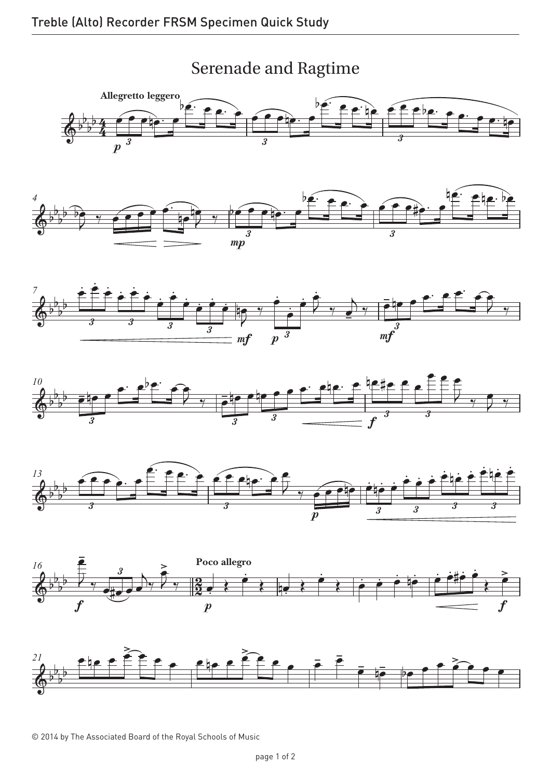## Serenade and Ragtime Serenade and Ragtime



 $\overline{\hspace{.15cm}3}$ 



mp









© 2014 by The Associated Board of the Royal Schools of Music